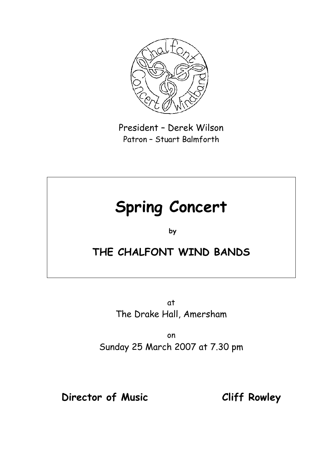

President – Derek Wilson Patron – Stuart Balmforth

# **Spring Concert**

**by** 

# **THE CHALFONT WIND BANDS**

at The Drake Hall, Amersham

on Sunday 25 March 2007 at 7.30 pm

# **Director of Music Cliff Rowley**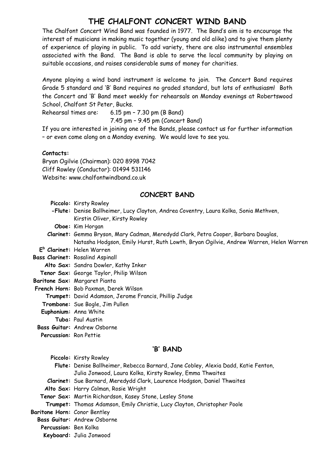#### **THE CHALFONT CONCERT WIND BAND**

The Chalfont Concert Wind Band was founded in 1977. The Band's aim is to encourage the interest of musicians in making music together (young and old alike) and to give them plenty of experience of playing in public. To add variety, there are also instrumental ensembles associated with the Band. The Band is able to serve the local community by playing on suitable occasions, and raises considerable sums of money for charities.

Anyone playing a wind band instrument is welcome to join. The Concert Band requires Grade 5 standard and 'B' Band requires no graded standard, but lots of enthusiasm! Both the Concert and 'B' Band meet weekly for rehearsals on Monday evenings at Robertswood School, Chalfont St Peter, Bucks.

Rehearsal times are: 6.15 pm – 7.30 pm (B Band)

7.45 pm – 9.45 pm (Concert Band)

If you are interested in joining one of the Bands, please contact us for further information – or even come along on a Monday evening. We would love to see you.

#### **Contacts:**

Bryan Ogilvie (Chairman): 020 8998 7042 Cliff Rowley (Conductor): 01494 531146 Website: www.chalfontwindband.co.uk

#### **CONCERT BAND**

| Piccolo: Kirsty Rowley |  |  |  |
|------------------------|--|--|--|
|------------------------|--|--|--|

- **-Flute:** Denise Ballheimer, Lucy Clayton, Andrea Coventry, Laura Kolka, Sonia Methven, Kirstin Oliver, Kirsty Rowley
- **Oboe:** Kim Horgan

**Clarinet:** Gemma Bryson, Mary Cadman, Meredydd Clark, Petra Cooper, Barbara Douglas, Natasha Hodgson, Emily Hurst, Ruth Lowth, Bryan Ogilvie, Andrew Warren, Helen Warren

- **E <sup>b</sup> Clarinet:** Helen Warren
- **Bass Clarinet:** Rosalind Aspinall
	- **Alto Sax:** Sandra Dowler, Kathy Inker
- **Tenor Sax:** George Taylor, Philip Wilson
- **Baritone Sax:** Margaret Pianta
- **French Horn:** Bob Paxman, Derek Wilson
	- **Trumpet:** David Adamson, Jerome Francis, Phillip Judge
- **Trombone:** Sue Bogle, Jim Pullen
- **Euphonium:** Anna White
- **Tuba:** Paul Austin
- **Bass Guitar:** Andrew Osborne

**Percussion:** Ron Pettie

#### **'B' BAND**

|                                     | Piccolo: Kirsty Rowley                                                             |  |
|-------------------------------------|------------------------------------------------------------------------------------|--|
|                                     | Flute: Denise Ballheimer, Rebecca Barnard, Jane Cobley, Alexia Dadd, Katie Fenton, |  |
|                                     | Julia Jonwood, Laura Kolka, Kirsty Rowley, Emma Thwaites                           |  |
|                                     | Clarinet: Sue Barnard, Meredydd Clark, Laurence Hodgson, Daniel Thwaites           |  |
|                                     | Alto Sax: Harry Colman, Rosie Wright                                               |  |
|                                     | Tenor Sax: Martin Richardson, Kasey Stone, Lesley Stone                            |  |
|                                     | Trumpet: Thomas Adamson, Emily Christie, Lucy Clayton, Christopher Poole           |  |
| <b>Baritone Horn:</b> Conor Bentley |                                                                                    |  |
|                                     | Bass Guitar: Andrew Osborne                                                        |  |
| Percussion: Ben Kolka               |                                                                                    |  |
|                                     | Keyboard: Julia Jonwood                                                            |  |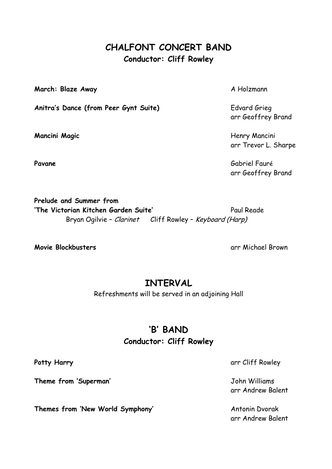### **CHALFONT CONCERT BAND Conductor: Cliff Rowley**

**March: Blaze Away** A Holzmann

Anitra's Dance (from Peer Gynt Suite) **Edvard Grieg** 

arr Geoffrey Brand

**Mancini Magic Henry Mancini Magic** arr Trevor L. Sharpe

Pavane Gabriel Fauré arr Geoffrey Brand

**Prelude and Summer from** 'The Victorian Kitchen Garden Suite' Paul Reade Bryan Ogilvie - Clarinet Cliff Rowley - Keyboard (Harp)

**Movie Blockbusters** and the state of the state of the state of the state of the state of the state of the state of the state of the state of the state of the state of the state of the state of the state of the state of th

# **INTERVAL**

Refreshments will be served in an adjoining Hall

# **'B' BAND**

#### **Conductor: Cliff Rowley**

**Theme from 'Superman'** John Williams

**Themes from 'New World Symphony'** Antonin Dvorak

**Potty Harry arr Cliff Rowley** 

arr Andrew Balent

arr Andrew Balent